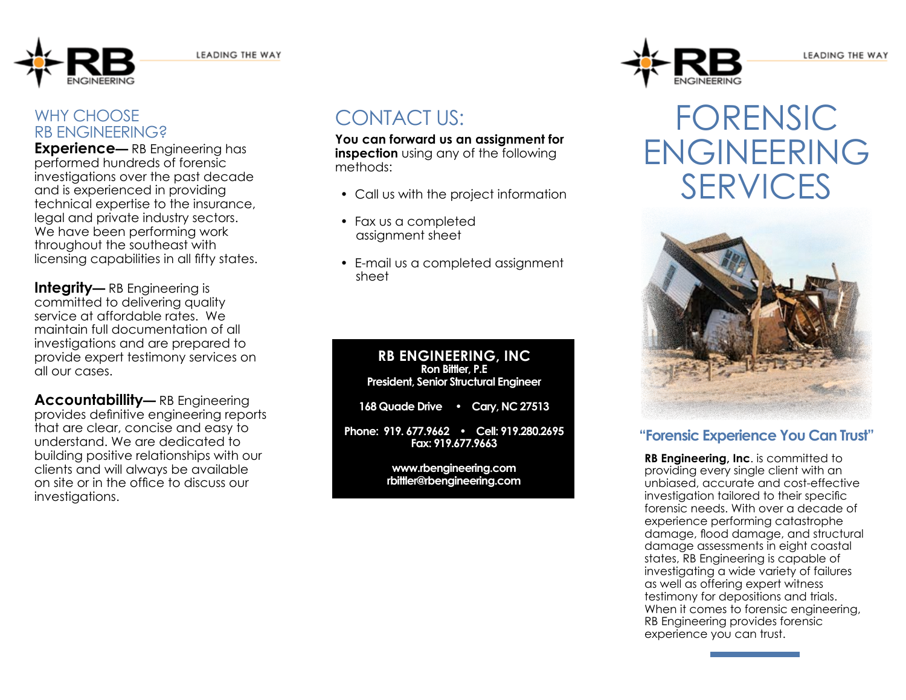

### WHY CHOOSE RB ENGINEERING?

**Experience**— RB Engineering has performed hundreds of forensic investigations over the past decade and is experienced in providing technical expertise to the insurance, legal and private industry sectors. We have been performing work throughout the southeast with licensing capabilities in all fifty states.

**Integrity—** RB Engineering is committed to delivering quality service at affordable rates. We maintain full documentation of all investigations and are prepared to provide expert testimony services on all our cases.

**Accountabillity—** RB Engineering provides definitive engineering reports that are clear, concise and easy to understand. We are dedicated to building positive relationships with our clients and will always be available on site or in the office to discuss our investigations.

# contact us:

**You can forward us an assignment for inspection** using any of the following methods:

- Call us with the project information
- Fax us a completed assignment sheet
- E-mail us a completed assignment sheet

#### **RB ENGINEERING, INC Ron Bittler, P.E President, Senior Structural Engineer**

**168 Quade Drive • Cary, NC 27513**

**Phone: 919. 677.9662 • Cell: 919.280.2695 Fax: 919.677.9663**

> **www.rbengineering.com rbittler@rbengineering.com**



# Forensic **ENGINEERING SERVICES**



#### **"Forensic Experience You Can Trust"**

**RB Engineering, Inc. is committed to** providing every single client with an unbiased, accurate and cost-effective investigation tailored to their specific forensic needs. With over a decade of experience performing catastrophe damage, flood damage, and structural damage assessments in eight coastal states, RB Engineering is capable of investigating a wide variety of failures as well as offering expert witness testimony for depositions and trials. When it comes to forensic engineering, RB Engineering provides forensic experience you can trust.